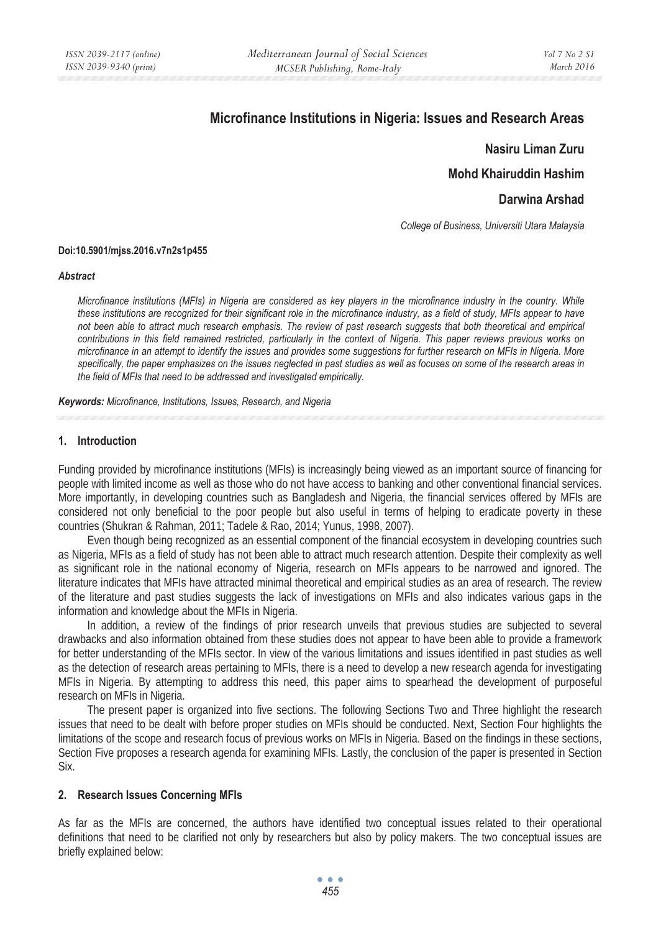# **Microfinance Institutions in Nigeria: Issues and Research Areas**

**Nasiru Liman Zuru Mohd Khairuddin Hashim Darwina Arshad** 

*College of Business, Universiti Utara Malaysia* 

#### **Doi:10.5901/mjss.2016.v7n2s1p455**

#### *Abstract*

*Microfinance institutions (MFIs) in Nigeria are considered as key players in the microfinance industry in the country. While these institutions are recognized for their significant role in the microfinance industry, as a field of study, MFIs appear to have not been able to attract much research emphasis. The review of past research suggests that both theoretical and empirical contributions in this field remained restricted, particularly in the context of Nigeria. This paper reviews previous works on microfinance in an attempt to identify the issues and provides some suggestions for further research on MFIs in Nigeria. More specifically, the paper emphasizes on the issues neglected in past studies as well as focuses on some of the research areas in the field of MFIs that need to be addressed and investigated empirically.* 

*Keywords: Microfinance, Institutions, Issues, Research, and Nigeria*

#### **1. Introduction**

Funding provided by microfinance institutions (MFIs) is increasingly being viewed as an important source of financing for people with limited income as well as those who do not have access to banking and other conventional financial services. More importantly, in developing countries such as Bangladesh and Nigeria, the financial services offered by MFIs are considered not only beneficial to the poor people but also useful in terms of helping to eradicate poverty in these countries (Shukran & Rahman, 2011; Tadele & Rao, 2014; Yunus, 1998, 2007).

Even though being recognized as an essential component of the financial ecosystem in developing countries such as Nigeria, MFIs as a field of study has not been able to attract much research attention. Despite their complexity as well as significant role in the national economy of Nigeria, research on MFIs appears to be narrowed and ignored. The literature indicates that MFIs have attracted minimal theoretical and empirical studies as an area of research. The review of the literature and past studies suggests the lack of investigations on MFIs and also indicates various gaps in the information and knowledge about the MFIs in Nigeria.

In addition, a review of the findings of prior research unveils that previous studies are subjected to several drawbacks and also information obtained from these studies does not appear to have been able to provide a framework for better understanding of the MFIs sector. In view of the various limitations and issues identified in past studies as well as the detection of research areas pertaining to MFIs, there is a need to develop a new research agenda for investigating MFIs in Nigeria. By attempting to address this need, this paper aims to spearhead the development of purposeful research on MFIs in Nigeria.

The present paper is organized into five sections. The following Sections Two and Three highlight the research issues that need to be dealt with before proper studies on MFIs should be conducted. Next, Section Four highlights the limitations of the scope and research focus of previous works on MFIs in Nigeria. Based on the findings in these sections, Section Five proposes a research agenda for examining MFIs. Lastly, the conclusion of the paper is presented in Section Six.

#### **2. Research Issues Concerning MFIs**

As far as the MFIs are concerned, the authors have identified two conceptual issues related to their operational definitions that need to be clarified not only by researchers but also by policy makers. The two conceptual issues are briefly explained below:

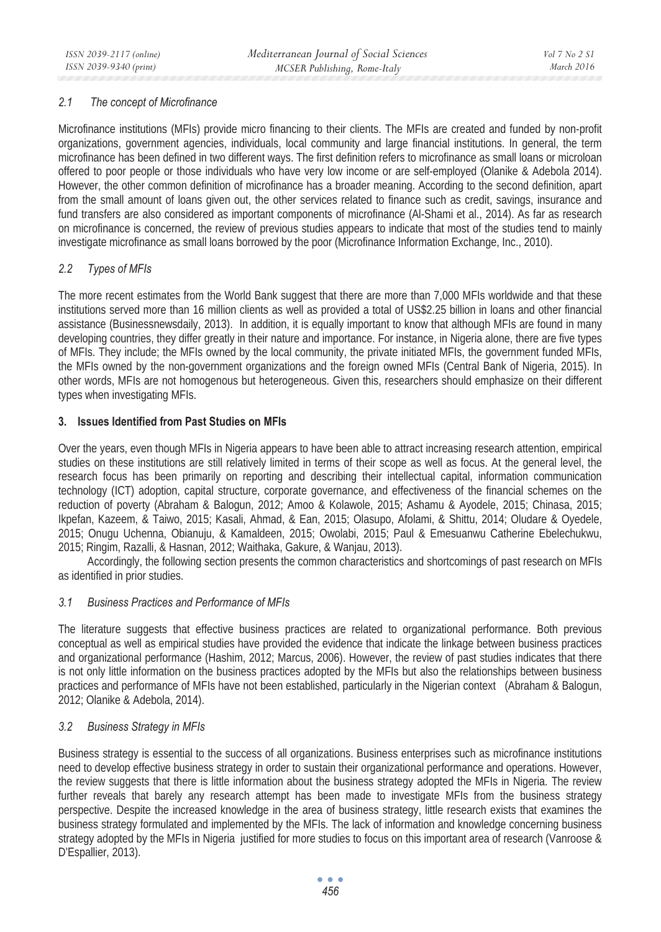### *2.1 The concept of Microfinance*

Microfinance institutions (MFIs) provide micro financing to their clients. The MFIs are created and funded by non-profit organizations, government agencies, individuals, local community and large financial institutions. In general, the term microfinance has been defined in two different ways. The first definition refers to microfinance as small loans or microloan offered to poor people or those individuals who have very low income or are self-employed (Olanike & Adebola 2014). However, the other common definition of microfinance has a broader meaning. According to the second definition, apart from the small amount of loans given out, the other services related to finance such as credit, savings, insurance and fund transfers are also considered as important components of microfinance (Al-Shami et al., 2014). As far as research on microfinance is concerned, the review of previous studies appears to indicate that most of the studies tend to mainly investigate microfinance as small loans borrowed by the poor (Microfinance Information Exchange, Inc., 2010).

# *2.2 Types of MFIs*

The more recent estimates from the World Bank suggest that there are more than 7,000 MFIs worldwide and that these institutions served more than 16 million clients as well as provided a total of US\$2.25 billion in loans and other financial assistance (Businessnewsdaily, 2013). In addition, it is equally important to know that although MFIs are found in many developing countries, they differ greatly in their nature and importance. For instance, in Nigeria alone, there are five types of MFIs. They include; the MFIs owned by the local community, the private initiated MFIs, the government funded MFIs, the MFIs owned by the non-government organizations and the foreign owned MFIs (Central Bank of Nigeria, 2015). In other words, MFIs are not homogenous but heterogeneous. Given this, researchers should emphasize on their different types when investigating MFIs.

### **3. Issues Identified from Past Studies on MFIs**

Over the years, even though MFIs in Nigeria appears to have been able to attract increasing research attention, empirical studies on these institutions are still relatively limited in terms of their scope as well as focus. At the general level, the research focus has been primarily on reporting and describing their intellectual capital, information communication technology (ICT) adoption, capital structure, corporate governance, and effectiveness of the financial schemes on the reduction of poverty (Abraham & Balogun, 2012; Amoo & Kolawole, 2015; Ashamu & Ayodele, 2015; Chinasa, 2015; Ikpefan, Kazeem, & Taiwo, 2015; Kasali, Ahmad, & Ean, 2015; Olasupo, Afolami, & Shittu, 2014; Oludare & Oyedele, 2015; Onugu Uchenna, Obianuju, & Kamaldeen, 2015; Owolabi, 2015; Paul & Emesuanwu Catherine Ebelechukwu, 2015; Ringim, Razalli, & Hasnan, 2012; Waithaka, Gakure, & Wanjau, 2013).

Accordingly, the following section presents the common characteristics and shortcomings of past research on MFIs as identified in prior studies.

# *3.1 Business Practices and Performance of MFIs*

The literature suggests that effective business practices are related to organizational performance. Both previous conceptual as well as empirical studies have provided the evidence that indicate the linkage between business practices and organizational performance (Hashim, 2012; Marcus, 2006). However, the review of past studies indicates that there is not only little information on the business practices adopted by the MFIs but also the relationships between business practices and performance of MFIs have not been established, particularly in the Nigerian context (Abraham & Balogun, 2012; Olanike & Adebola, 2014).

#### *3.2 Business Strategy in MFIs*

Business strategy is essential to the success of all organizations. Business enterprises such as microfinance institutions need to develop effective business strategy in order to sustain their organizational performance and operations. However, the review suggests that there is little information about the business strategy adopted the MFIs in Nigeria. The review further reveals that barely any research attempt has been made to investigate MFIs from the business strategy perspective. Despite the increased knowledge in the area of business strategy, little research exists that examines the business strategy formulated and implemented by the MFIs. The lack of information and knowledge concerning business strategy adopted by the MFIs in Nigeria justified for more studies to focus on this important area of research (Vanroose & D'Espallier, 2013).

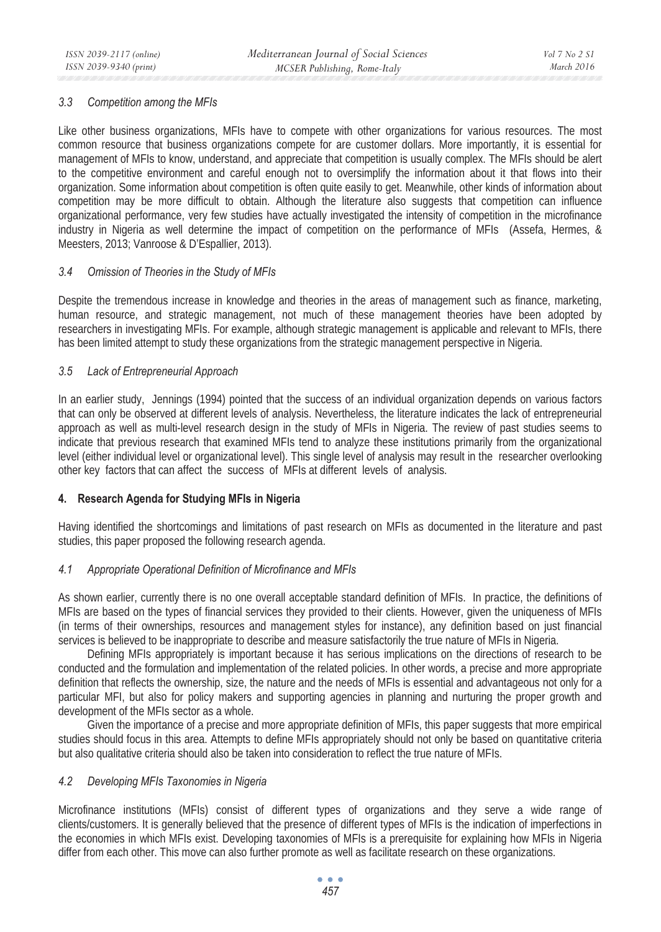### *3.3 Competition among the MFIs*

Like other business organizations, MFIs have to compete with other organizations for various resources. The most common resource that business organizations compete for are customer dollars. More importantly, it is essential for management of MFIs to know, understand, and appreciate that competition is usually complex. The MFIs should be alert to the competitive environment and careful enough not to oversimplify the information about it that flows into their organization. Some information about competition is often quite easily to get. Meanwhile, other kinds of information about competition may be more difficult to obtain. Although the literature also suggests that competition can influence organizational performance, very few studies have actually investigated the intensity of competition in the microfinance industry in Nigeria as well determine the impact of competition on the performance of MFIs (Assefa, Hermes, & Meesters, 2013; Vanroose & D'Espallier, 2013).

# *3.4 Omission of Theories in the Study of MFIs*

Despite the tremendous increase in knowledge and theories in the areas of management such as finance, marketing, human resource, and strategic management, not much of these management theories have been adopted by researchers in investigating MFIs. For example, although strategic management is applicable and relevant to MFIs, there has been limited attempt to study these organizations from the strategic management perspective in Nigeria.

### *3.5 Lack of Entrepreneurial Approach*

In an earlier study, Jennings (1994) pointed that the success of an individual organization depends on various factors that can only be observed at different levels of analysis. Nevertheless, the literature indicates the lack of entrepreneurial approach as well as multi-level research design in the study of MFIs in Nigeria. The review of past studies seems to indicate that previous research that examined MFIs tend to analyze these institutions primarily from the organizational level (either individual level or organizational level). This single level of analysis may result in the researcher overlooking other key factors that can affect the success of MFIs at different levels of analysis.

# **4. Research Agenda for Studying MFIs in Nigeria**

Having identified the shortcomings and limitations of past research on MFIs as documented in the literature and past studies, this paper proposed the following research agenda.

#### *4.1 Appropriate Operational Definition of Microfinance and MFIs*

As shown earlier, currently there is no one overall acceptable standard definition of MFIs. In practice, the definitions of MFIs are based on the types of financial services they provided to their clients. However, given the uniqueness of MFIs (in terms of their ownerships, resources and management styles for instance), any definition based on just financial services is believed to be inappropriate to describe and measure satisfactorily the true nature of MFIs in Nigeria.

Defining MFIs appropriately is important because it has serious implications on the directions of research to be conducted and the formulation and implementation of the related policies. In other words, a precise and more appropriate definition that reflects the ownership, size, the nature and the needs of MFIs is essential and advantageous not only for a particular MFI, but also for policy makers and supporting agencies in planning and nurturing the proper growth and development of the MFIs sector as a whole.

Given the importance of a precise and more appropriate definition of MFIs, this paper suggests that more empirical studies should focus in this area. Attempts to define MFIs appropriately should not only be based on quantitative criteria but also qualitative criteria should also be taken into consideration to reflect the true nature of MFIs.

# *4.2 Developing MFIs Taxonomies in Nigeria*

Microfinance institutions (MFIs) consist of different types of organizations and they serve a wide range of clients/customers. It is generally believed that the presence of different types of MFIs is the indication of imperfections in the economies in which MFIs exist. Developing taxonomies of MFIs is a prerequisite for explaining how MFIs in Nigeria differ from each other. This move can also further promote as well as facilitate research on these organizations.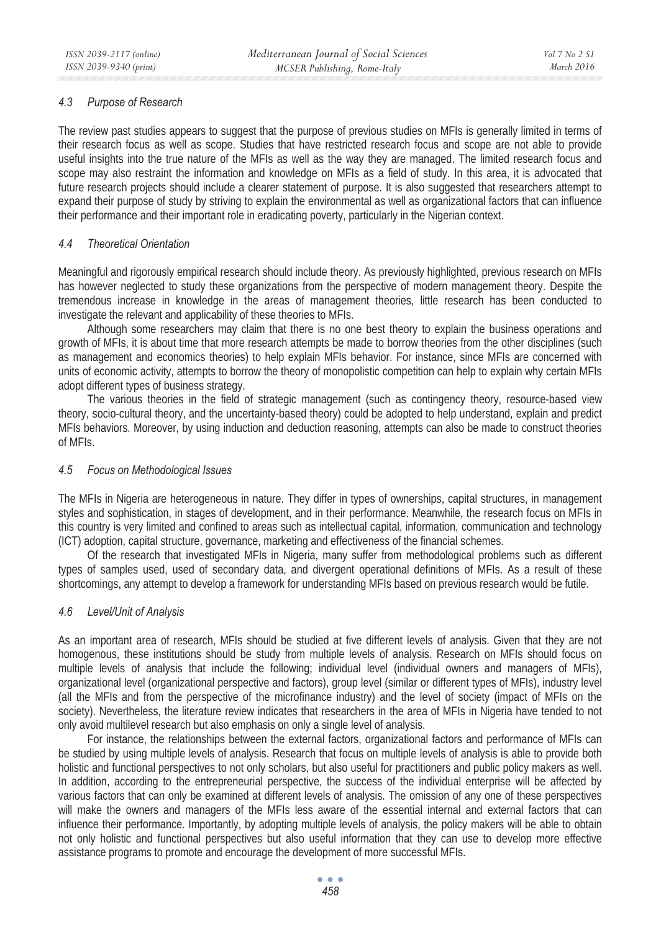### *4.3 Purpose of Research*

The review past studies appears to suggest that the purpose of previous studies on MFIs is generally limited in terms of their research focus as well as scope. Studies that have restricted research focus and scope are not able to provide useful insights into the true nature of the MFIs as well as the way they are managed. The limited research focus and scope may also restraint the information and knowledge on MFIs as a field of study. In this area, it is advocated that future research projects should include a clearer statement of purpose. It is also suggested that researchers attempt to expand their purpose of study by striving to explain the environmental as well as organizational factors that can influence their performance and their important role in eradicating poverty, particularly in the Nigerian context.

### *4.4 Theoretical Orientation*

Meaningful and rigorously empirical research should include theory. As previously highlighted, previous research on MFIs has however neglected to study these organizations from the perspective of modern management theory. Despite the tremendous increase in knowledge in the areas of management theories, little research has been conducted to investigate the relevant and applicability of these theories to MFIs.

Although some researchers may claim that there is no one best theory to explain the business operations and growth of MFIs, it is about time that more research attempts be made to borrow theories from the other disciplines (such as management and economics theories) to help explain MFIs behavior. For instance, since MFIs are concerned with units of economic activity, attempts to borrow the theory of monopolistic competition can help to explain why certain MFIs adopt different types of business strategy.

The various theories in the field of strategic management (such as contingency theory, resource-based view theory, socio-cultural theory, and the uncertainty-based theory) could be adopted to help understand, explain and predict MFIs behaviors. Moreover, by using induction and deduction reasoning, attempts can also be made to construct theories of MFIs.

### *4.5 Focus on Methodological Issues*

The MFIs in Nigeria are heterogeneous in nature. They differ in types of ownerships, capital structures, in management styles and sophistication, in stages of development, and in their performance. Meanwhile, the research focus on MFIs in this country is very limited and confined to areas such as intellectual capital, information, communication and technology (ICT) adoption, capital structure, governance, marketing and effectiveness of the financial schemes.

Of the research that investigated MFIs in Nigeria, many suffer from methodological problems such as different types of samples used, used of secondary data, and divergent operational definitions of MFIs. As a result of these shortcomings, any attempt to develop a framework for understanding MFIs based on previous research would be futile.

#### *4.6 Level/Unit of Analysis*

As an important area of research, MFIs should be studied at five different levels of analysis. Given that they are not homogenous, these institutions should be study from multiple levels of analysis. Research on MFIs should focus on multiple levels of analysis that include the following; individual level (individual owners and managers of MFIs), organizational level (organizational perspective and factors), group level (similar or different types of MFIs), industry level (all the MFIs and from the perspective of the microfinance industry) and the level of society (impact of MFIs on the society). Nevertheless, the literature review indicates that researchers in the area of MFIs in Nigeria have tended to not only avoid multilevel research but also emphasis on only a single level of analysis.

For instance, the relationships between the external factors, organizational factors and performance of MFIs can be studied by using multiple levels of analysis. Research that focus on multiple levels of analysis is able to provide both holistic and functional perspectives to not only scholars, but also useful for practitioners and public policy makers as well. In addition, according to the entrepreneurial perspective, the success of the individual enterprise will be affected by various factors that can only be examined at different levels of analysis. The omission of any one of these perspectives will make the owners and managers of the MFIs less aware of the essential internal and external factors that can influence their performance. Importantly, by adopting multiple levels of analysis, the policy makers will be able to obtain not only holistic and functional perspectives but also useful information that they can use to develop more effective assistance programs to promote and encourage the development of more successful MFIs.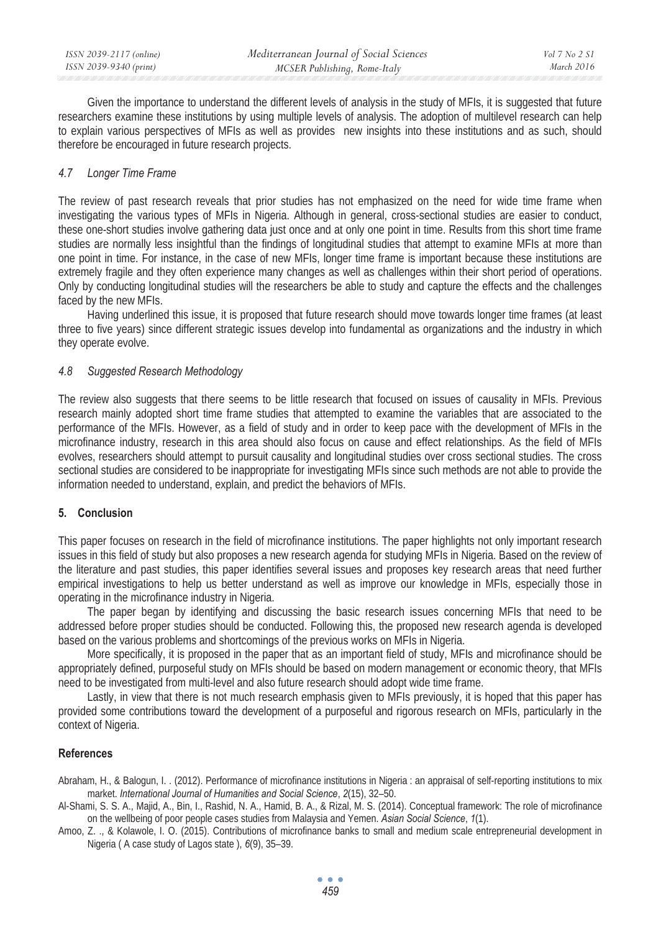| ISSN 2039-2117 (online) | Mediterranean Journal of Social Sciences | Vol 7 No 2 $S1$ |
|-------------------------|------------------------------------------|-----------------|
| ISSN 2039-9340 (print)  | MCSER Publishing, Rome-Italy             | March 2016      |
|                         |                                          |                 |

Given the importance to understand the different levels of analysis in the study of MFIs, it is suggested that future researchers examine these institutions by using multiple levels of analysis. The adoption of multilevel research can help to explain various perspectives of MFIs as well as provides new insights into these institutions and as such, should therefore be encouraged in future research projects.

### *4.7 Longer Time Frame*

The review of past research reveals that prior studies has not emphasized on the need for wide time frame when investigating the various types of MFIs in Nigeria. Although in general, cross-sectional studies are easier to conduct, these one-short studies involve gathering data just once and at only one point in time. Results from this short time frame studies are normally less insightful than the findings of longitudinal studies that attempt to examine MFIs at more than one point in time. For instance, in the case of new MFIs, longer time frame is important because these institutions are extremely fragile and they often experience many changes as well as challenges within their short period of operations. Only by conducting longitudinal studies will the researchers be able to study and capture the effects and the challenges faced by the new MFIs.

Having underlined this issue, it is proposed that future research should move towards longer time frames (at least three to five years) since different strategic issues develop into fundamental as organizations and the industry in which they operate evolve.

#### *4.8 Suggested Research Methodology*

The review also suggests that there seems to be little research that focused on issues of causality in MFIs. Previous research mainly adopted short time frame studies that attempted to examine the variables that are associated to the performance of the MFIs. However, as a field of study and in order to keep pace with the development of MFIs in the microfinance industry, research in this area should also focus on cause and effect relationships. As the field of MFIs evolves, researchers should attempt to pursuit causality and longitudinal studies over cross sectional studies. The cross sectional studies are considered to be inappropriate for investigating MFIs since such methods are not able to provide the information needed to understand, explain, and predict the behaviors of MFIs.

#### **5. Conclusion**

This paper focuses on research in the field of microfinance institutions. The paper highlights not only important research issues in this field of study but also proposes a new research agenda for studying MFIs in Nigeria. Based on the review of the literature and past studies, this paper identifies several issues and proposes key research areas that need further empirical investigations to help us better understand as well as improve our knowledge in MFIs, especially those in operating in the microfinance industry in Nigeria.

The paper began by identifying and discussing the basic research issues concerning MFIs that need to be addressed before proper studies should be conducted. Following this, the proposed new research agenda is developed based on the various problems and shortcomings of the previous works on MFIs in Nigeria.

More specifically, it is proposed in the paper that as an important field of study, MFIs and microfinance should be appropriately defined, purposeful study on MFIs should be based on modern management or economic theory, that MFIs need to be investigated from multi-level and also future research should adopt wide time frame.

Lastly, in view that there is not much research emphasis given to MFIs previously, it is hoped that this paper has provided some contributions toward the development of a purposeful and rigorous research on MFIs, particularly in the context of Nigeria.

### **References**

Abraham, H., & Balogun, I. . (2012). Performance of microfinance institutions in Nigeria : an appraisal of self-reporting institutions to mix market. *International Journal of Humanities and Social Science*, *2*(15), 32–50.

Al-Shami, S. S. A., Majid, A., Bin, I., Rashid, N. A., Hamid, B. A., & Rizal, M. S. (2014). Conceptual framework: The role of microfinance on the wellbeing of poor people cases studies from Malaysia and Yemen. *Asian Social Science*, *1*(1).

Amoo, Z. ., & Kolawole, I. O. (2015). Contributions of microfinance banks to small and medium scale entrepreneurial development in Nigeria ( A case study of Lagos state ), *6*(9), 35–39.